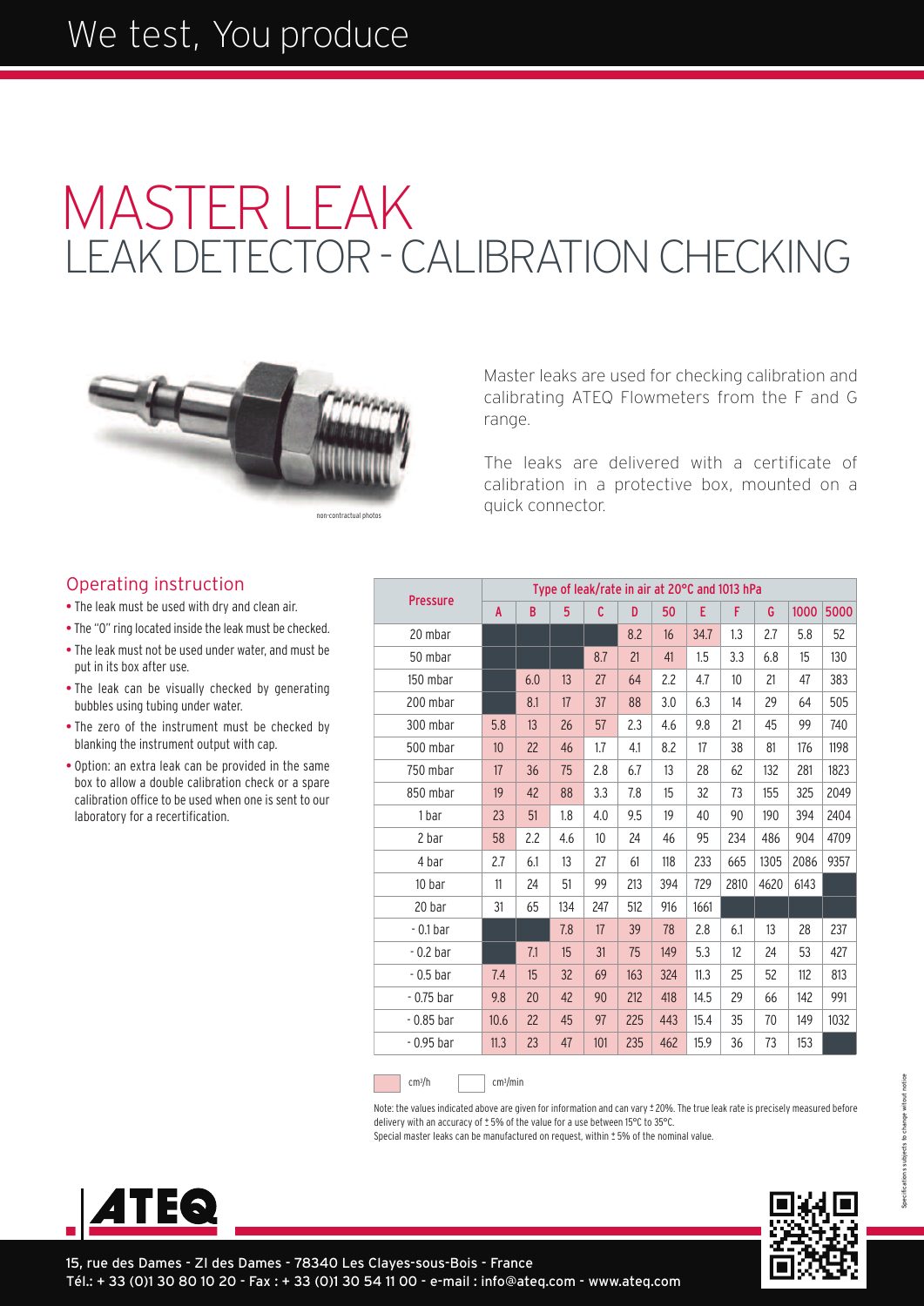# **I FAK DETECTOR - CALIBRATION CHECKING** MASTERLEAK



non-contractual photos

Master leaks are used for checking calibration and calibrating ATEQ Flowmeters from the F and G range.

The leaks are delivered with a certificate of calibration in a protective box, mounted on a quick connector.

### Operating instruction

• The leak must be used with dry and clean air.

- The "O" ring located inside the leak must be checked.
- The leak must not be used under water, and must be put in its box after use.
- The leak can be visually checked by generating bubbles using tubing under water.
- The zero of the instrument must be checked by blanking the instrument output with cap.
- Option: an extra leak can be provided in the same box to allow a double calibration check or a spare calibration office to be used when one is sent to our laboratory for a recertification.

| <b>Pressure</b> | Type of leak/rate in air at 20°C and 1013 hPa |     |     |     |     |     |      |      |      |      |      |
|-----------------|-----------------------------------------------|-----|-----|-----|-----|-----|------|------|------|------|------|
|                 | A                                             | B   | 5   | C   | D   | 50  | E    | F    | G    | 1000 | 5000 |
| 20 mbar         |                                               |     |     |     | 8.2 | 16  | 34.7 | 1.3  | 2.7  | 5.8  | 52   |
| 50 mbar         |                                               |     |     | 8.7 | 21  | 41  | 1.5  | 3.3  | 6.8  | 15   | 130  |
| 150 mbar        |                                               | 6.0 | 13  | 27  | 64  | 2.2 | 4.7  | 10   | 21   | 47   | 383  |
| 200 mbar        |                                               | 8.1 | 17  | 37  | 88  | 3.0 | 6.3  | 14   | 29   | 64   | 505  |
| 300 mbar        | 5.8                                           | 13  | 26  | 57  | 2.3 | 4.6 | 9.8  | 21   | 45   | 99   | 740  |
| 500 mbar        | 10                                            | 22  | 46  | 1.7 | 4.1 | 8.2 | 17   | 38   | 81   | 176  | 1198 |
| 750 mbar        | 17                                            | 36  | 75  | 2.8 | 6.7 | 13  | 28   | 62   | 132  | 281  | 1823 |
| 850 mbar        | 19                                            | 42  | 88  | 3.3 | 7.8 | 15  | 32   | 73   | 155  | 325  | 2049 |
| 1 bar           | 23                                            | 51  | 1.8 | 4.0 | 9.5 | 19  | 40   | 90   | 190  | 394  | 2404 |
| 2 bar           | 58                                            | 2.2 | 4.6 | 10  | 24  | 46  | 95   | 234  | 486  | 904  | 4709 |
| 4 bar           | 2.7                                           | 6.1 | 13  | 27  | 61  | 118 | 233  | 665  | 1305 | 2086 | 9357 |
| 10 bar          | 11                                            | 24  | 51  | 99  | 213 | 394 | 729  | 2810 | 4620 | 6143 |      |
| 20 bar          | 31                                            | 65  | 134 | 247 | 512 | 916 | 1661 |      |      |      |      |
| $-0.1b$ ar      |                                               |     | 7.8 | 17  | 39  | 78  | 2.8  | 6.1  | 13   | 28   | 237  |
| $-0.2b$ ar      |                                               | 7.1 | 15  | 31  | 75  | 149 | 5.3  | 12   | 24   | 53   | 427  |
| $-0.5b$ ar      | 7.4                                           | 15  | 32  | 69  | 163 | 324 | 11.3 | 25   | 52   | 112  | 813  |
| $-0.75$ bar     | 9.8                                           | 20  | 42  | 90  | 212 | 418 | 14.5 | 29   | 66   | 142  | 991  |
| $-0.85$ bar     | 10.6                                          | 22  | 45  | 97  | 225 | 443 | 15.4 | 35   | 70   | 149  | 1032 |
| $-0.95$ bar     | 11.3                                          | 23  | 47  | 101 | 235 | 462 | 15.9 | 36   | 73   | 153  |      |

 $cm<sup>3</sup>/h$ 

/h cm3 /min

Note: the values indicated above are given for information and can vary ± 20%. The true leak rate is precisely measured before delivery with an accuracy of  $\pm$  5% of the value for a use between 15°C to 35°C.

Special master leaks can be manufactured on request, within ± 5% of the nominal value.